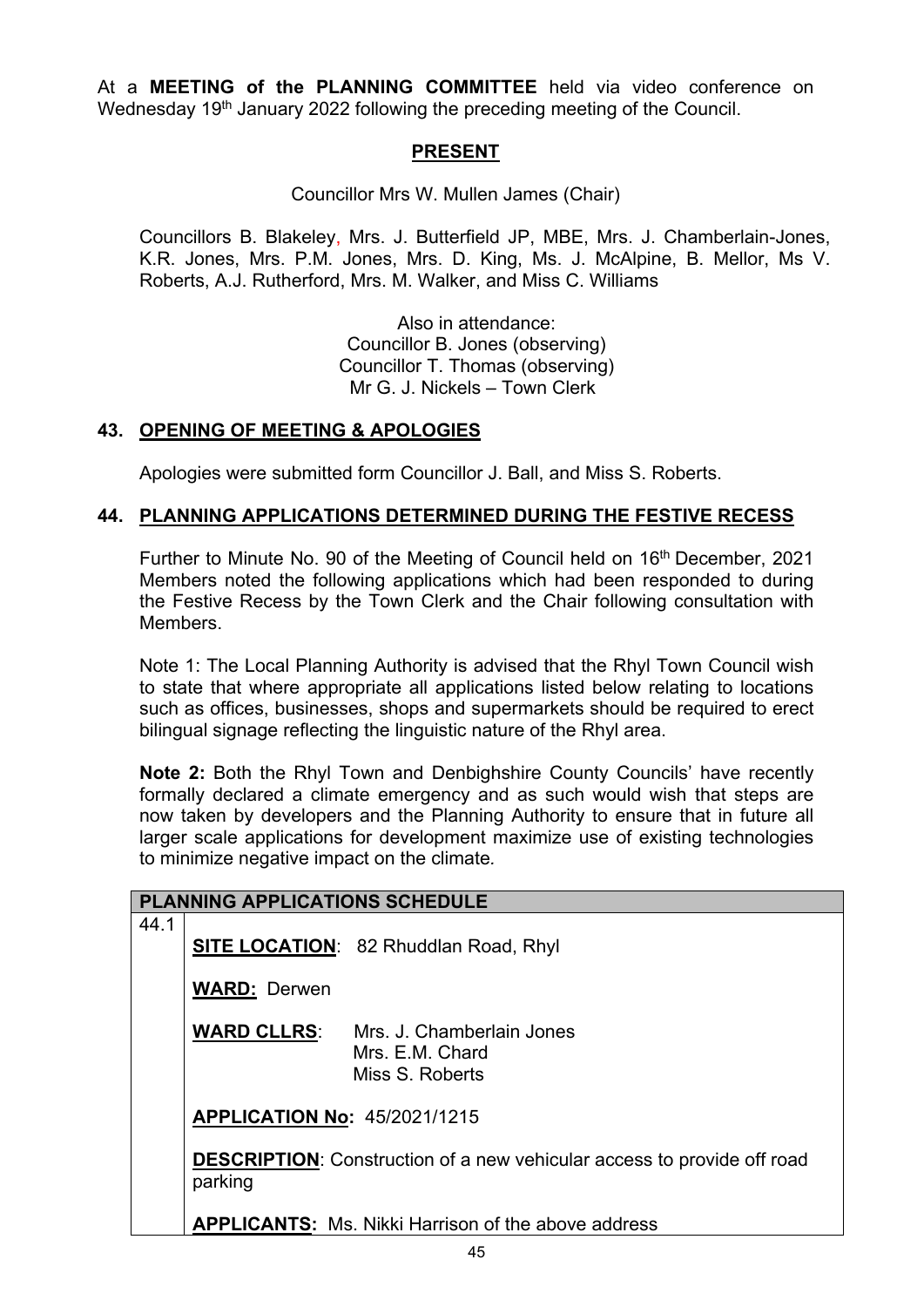At a **MEETING of the PLANNING COMMITTEE** held via video conference on Wednesday 19<sup>th</sup> January 2022 following the preceding meeting of the Council.

## **PRESENT**

Councillor Mrs W. Mullen James (Chair)

Councillors B. Blakeley, Mrs. J. Butterfield JP, MBE, Mrs. J. Chamberlain-Jones, K.R. Jones, Mrs. P.M. Jones, Mrs. D. King, Ms. J. McAlpine, B. Mellor, Ms V. Roberts, A.J. Rutherford, Mrs. M. Walker, and Miss C. Williams

> Also in attendance: Councillor B. Jones (observing) Councillor T. Thomas (observing) Mr G. J. Nickels – Town Clerk

### **43. OPENING OF MEETING & APOLOGIES**

Apologies were submitted form Councillor J. Ball, and Miss S. Roberts.

### **44. PLANNING APPLICATIONS DETERMINED DURING THE FESTIVE RECESS**

Further to Minute No. 90 of the Meeting of Council held on 16<sup>th</sup> December, 2021 Members noted the following applications which had been responded to during the Festive Recess by the Town Clerk and the Chair following consultation with **Members** 

Note 1: The Local Planning Authority is advised that the Rhyl Town Council wish to state that where appropriate all applications listed below relating to locations such as offices, businesses, shops and supermarkets should be required to erect bilingual signage reflecting the linguistic nature of the Rhyl area.

**Note 2:** Both the Rhyl Town and Denbighshire County Councils' have recently formally declared a climate emergency and as such would wish that steps are now taken by developers and the Planning Authority to ensure that in future all larger scale applications for development maximize use of existing technologies to minimize negative impact on the climate*.*

|      | <b>PLANNING APPLICATIONS SCHEDULE</b>                                                     |                                                                 |
|------|-------------------------------------------------------------------------------------------|-----------------------------------------------------------------|
| 44.1 |                                                                                           | <b>SITE LOCATION: 82 Rhuddlan Road, Rhyl</b>                    |
|      | <b>WARD: Derwen</b>                                                                       |                                                                 |
|      | <b>WARD CLLRS:</b>                                                                        | Mrs. J. Chamberlain Jones<br>Mrs. E.M. Chard<br>Miss S. Roberts |
|      | <b>APPLICATION No: 45/2021/1215</b>                                                       |                                                                 |
|      | <b>DESCRIPTION:</b> Construction of a new vehicular access to provide off road<br>parking |                                                                 |
|      |                                                                                           | <b>APPLICANTS:</b> Ms. Nikki Harrison of the above address      |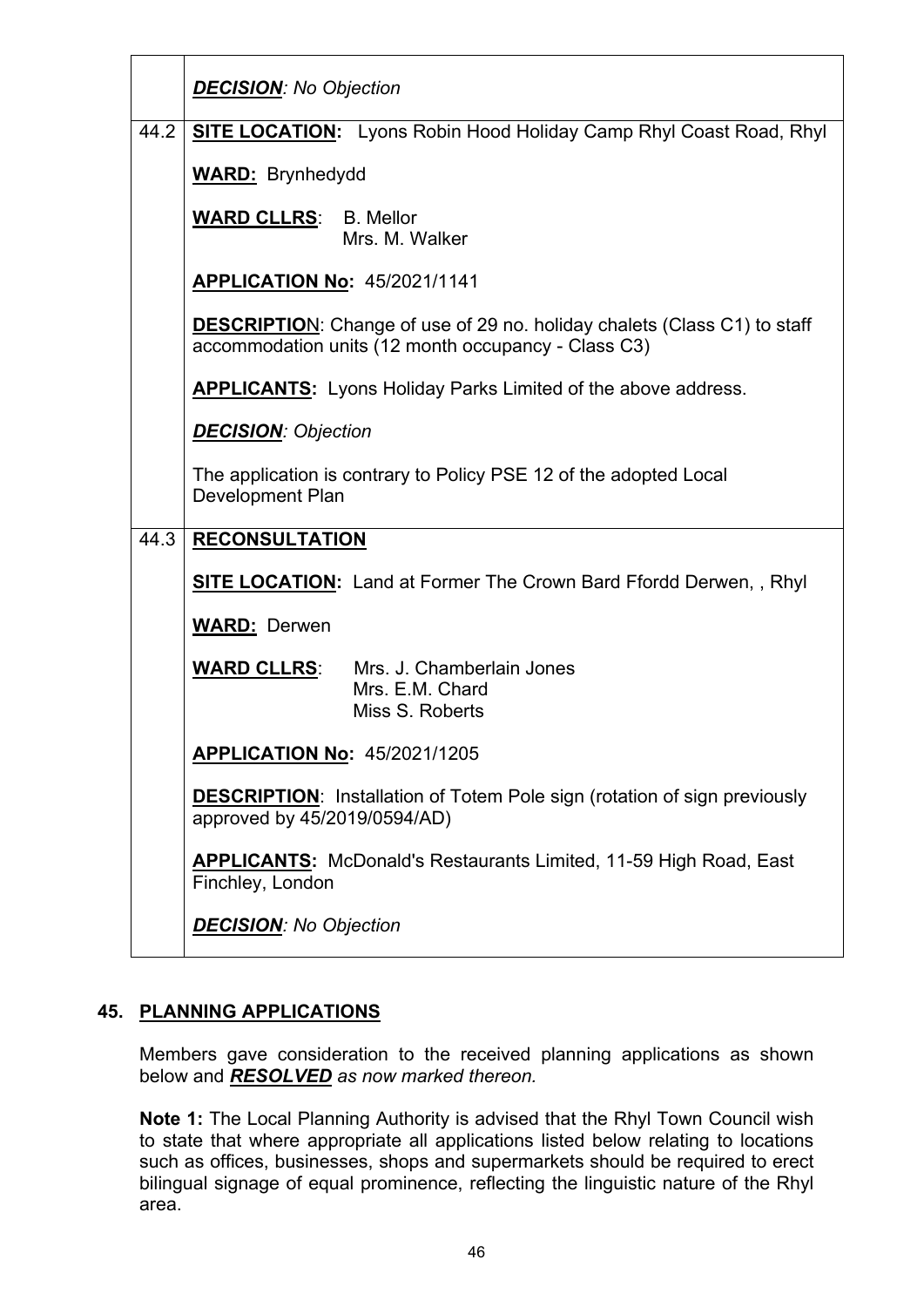|      | <b>DECISION:</b> No Objection                                                                                                          |  |
|------|----------------------------------------------------------------------------------------------------------------------------------------|--|
| 44.2 | <b>SITE LOCATION:</b> Lyons Robin Hood Holiday Camp Rhyl Coast Road, Rhyl                                                              |  |
|      | <b>WARD: Brynhedydd</b>                                                                                                                |  |
|      | <b>WARD CLLRS: B. Mellor</b><br>Mrs. M. Walker                                                                                         |  |
|      | <b>APPLICATION No: 45/2021/1141</b>                                                                                                    |  |
|      | <b>DESCRIPTION:</b> Change of use of 29 no. holiday chalets (Class C1) to staff<br>accommodation units (12 month occupancy - Class C3) |  |
|      | <b>APPLICANTS:</b> Lyons Holiday Parks Limited of the above address.                                                                   |  |
|      | <b>DECISION: Objection</b>                                                                                                             |  |
|      | The application is contrary to Policy PSE 12 of the adopted Local<br>Development Plan                                                  |  |
| 44.3 | <b>RECONSULTATION</b>                                                                                                                  |  |
|      | <b>SITE LOCATION:</b> Land at Former The Crown Bard Ffordd Derwen,, Rhyl                                                               |  |
|      | <b>WARD: Derwen</b>                                                                                                                    |  |
|      | <b>WARD CLLRS:</b> Mrs. J. Chamberlain Jones<br>Mrs. E.M. Chard<br>Miss S. Roberts                                                     |  |
|      | APPLICATION No: 45/2021/1205                                                                                                           |  |
|      | <b>DESCRIPTION:</b> Installation of Totem Pole sign (rotation of sign previously<br>approved by 45/2019/0594/AD)                       |  |
|      | <b>APPLICANTS:</b> McDonald's Restaurants Limited, 11-59 High Road, East<br>Finchley, London                                           |  |
|      | <b>DECISION:</b> No Objection                                                                                                          |  |

# **45. PLANNING APPLICATIONS**

Members gave consideration to the received planning applications as shown below and *RESOLVED as now marked thereon.*

**Note 1:** The Local Planning Authority is advised that the Rhyl Town Council wish to state that where appropriate all applications listed below relating to locations such as offices, businesses, shops and supermarkets should be required to erect bilingual signage of equal prominence, reflecting the linguistic nature of the Rhyl area.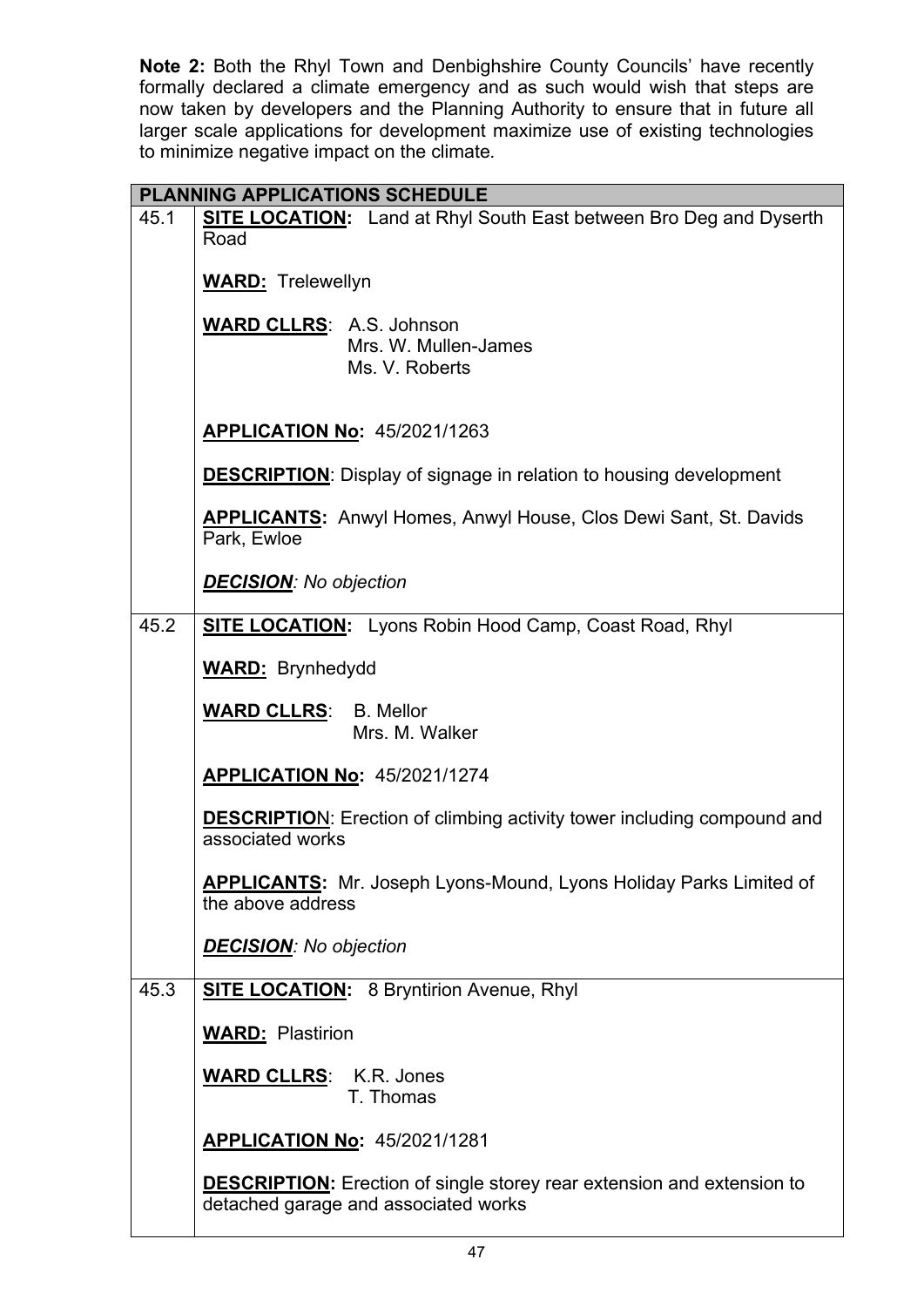**Note 2:** Both the Rhyl Town and Denbighshire County Councils' have recently formally declared a climate emergency and as such would wish that steps are now taken by developers and the Planning Authority to ensure that in future all larger scale applications for development maximize use of existing technologies to minimize negative impact on the climate*.*

|      | PLANNING APPLICATIONS SCHEDULE                                                                                        |  |  |
|------|-----------------------------------------------------------------------------------------------------------------------|--|--|
| 45.1 | <b>SITE LOCATION:</b> Land at Rhyl South East between Bro Deg and Dyserth                                             |  |  |
|      | Road                                                                                                                  |  |  |
|      | <b>WARD:</b> Trelewellyn                                                                                              |  |  |
|      | <b>WARD CLLRS: A.S. Johnson</b>                                                                                       |  |  |
|      | Mrs. W. Mullen-James                                                                                                  |  |  |
|      | Ms. V. Roberts                                                                                                        |  |  |
|      |                                                                                                                       |  |  |
|      | <b>APPLICATION No: 45/2021/1263</b>                                                                                   |  |  |
|      | <b>DESCRIPTION:</b> Display of signage in relation to housing development                                             |  |  |
|      | APPLICANTS: Anwyl Homes, Anwyl House, Clos Dewi Sant, St. Davids<br>Park, Ewloe                                       |  |  |
|      | <b>DECISION:</b> No objection                                                                                         |  |  |
| 45.2 | <b>SITE LOCATION:</b> Lyons Robin Hood Camp, Coast Road, Rhyl                                                         |  |  |
|      | <b>WARD:</b> Brynhedydd                                                                                               |  |  |
|      | <b>WARD CLLRS: B. Mellor</b><br>Mrs. M. Walker                                                                        |  |  |
|      | <b>APPLICATION No: 45/2021/1274</b>                                                                                   |  |  |
|      | <b>DESCRIPTION:</b> Erection of climbing activity tower including compound and<br>associated works                    |  |  |
|      | <b>APPLICANTS:</b> Mr. Joseph Lyons-Mound, Lyons Holiday Parks Limited of<br>the above address                        |  |  |
|      | <b>DECISION:</b> No objection                                                                                         |  |  |
| 45.3 | <b>SITE LOCATION:</b> 8 Bryntirion Avenue, Rhyl                                                                       |  |  |
|      | <b>WARD: Plastirion</b>                                                                                               |  |  |
|      | <b>WARD CLLRS:</b> K.R. Jones<br>T. Thomas                                                                            |  |  |
|      | APPLICATION No: 45/2021/1281                                                                                          |  |  |
|      | <b>DESCRIPTION:</b> Erection of single storey rear extension and extension to<br>detached garage and associated works |  |  |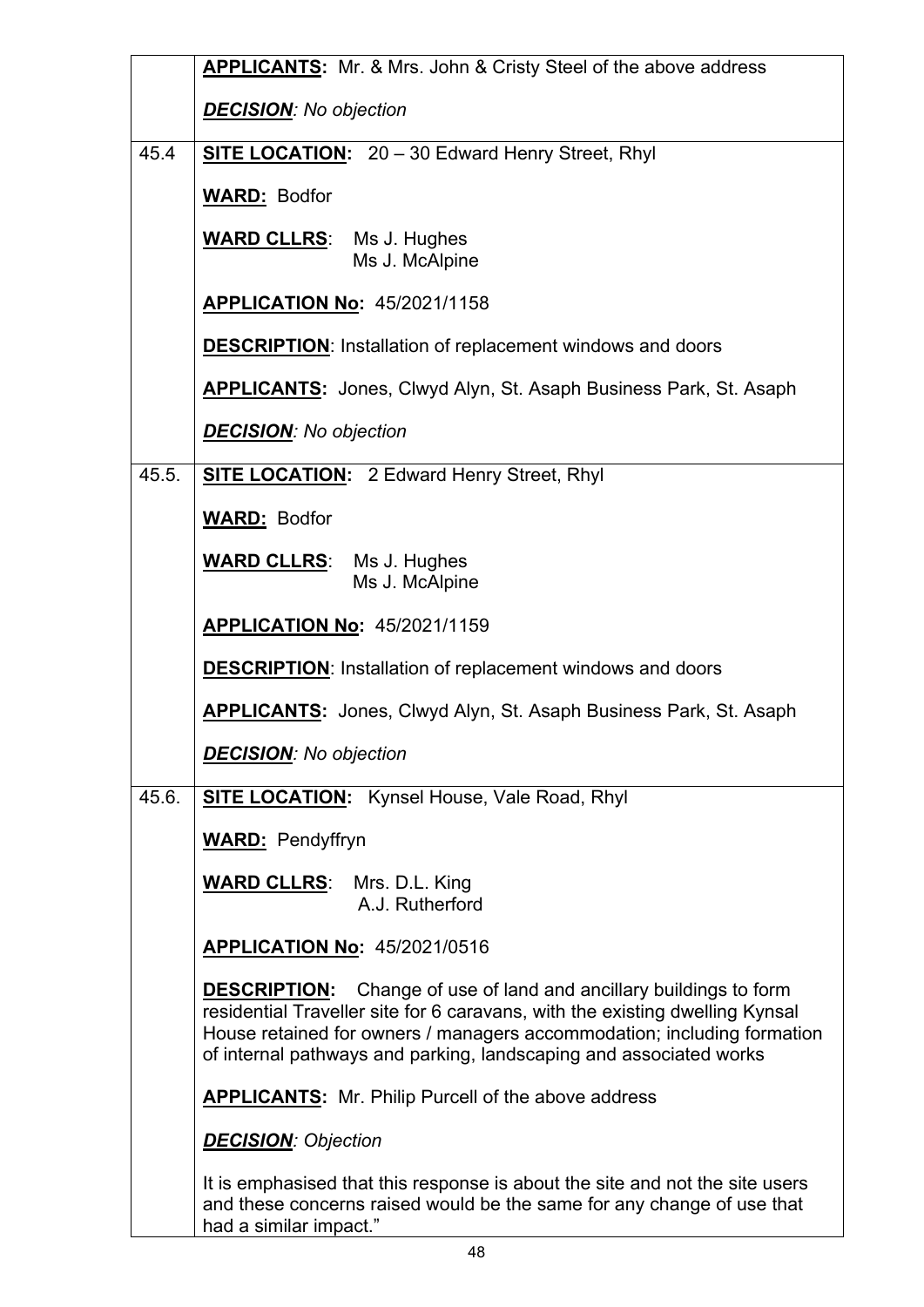|       | <b>APPLICANTS:</b> Mr. & Mrs. John & Cristy Steel of the above address                                                                                                                                                                                                                                     |  |
|-------|------------------------------------------------------------------------------------------------------------------------------------------------------------------------------------------------------------------------------------------------------------------------------------------------------------|--|
|       | <b>DECISION:</b> No objection                                                                                                                                                                                                                                                                              |  |
| 45.4  | SITE LOCATION: 20 - 30 Edward Henry Street, Rhyl                                                                                                                                                                                                                                                           |  |
|       | <b>WARD: Bodfor</b>                                                                                                                                                                                                                                                                                        |  |
|       | <b>WARD CLLRS:</b> Ms J. Hughes<br>Ms J. McAlpine                                                                                                                                                                                                                                                          |  |
|       | <b>APPLICATION No: 45/2021/1158</b>                                                                                                                                                                                                                                                                        |  |
|       | <b>DESCRIPTION:</b> Installation of replacement windows and doors                                                                                                                                                                                                                                          |  |
|       | <b>APPLICANTS:</b> Jones, Clwyd Alyn, St. Asaph Business Park, St. Asaph                                                                                                                                                                                                                                   |  |
|       | <b>DECISION:</b> No objection                                                                                                                                                                                                                                                                              |  |
| 45.5. | <b>SITE LOCATION:</b> 2 Edward Henry Street, Rhyl                                                                                                                                                                                                                                                          |  |
|       | <b>WARD: Bodfor</b>                                                                                                                                                                                                                                                                                        |  |
|       | <b>WARD CLLRS:</b> Ms J. Hughes<br>Ms J. McAlpine                                                                                                                                                                                                                                                          |  |
|       | <b>APPLICATION No: 45/2021/1159</b>                                                                                                                                                                                                                                                                        |  |
|       | <b>DESCRIPTION:</b> Installation of replacement windows and doors                                                                                                                                                                                                                                          |  |
|       | <b>APPLICANTS:</b> Jones, Clwyd Alyn, St. Asaph Business Park, St. Asaph                                                                                                                                                                                                                                   |  |
|       | <b>DECISION:</b> No objection                                                                                                                                                                                                                                                                              |  |
| 45.6. | <b>SITE LOCATION:</b> Kynsel House, Vale Road, Rhyl                                                                                                                                                                                                                                                        |  |
|       | <b>WARD:</b> Pendyffryn                                                                                                                                                                                                                                                                                    |  |
|       | <b>WARD CLLRS:</b> Mrs. D.L. King<br>A.J. Rutherford                                                                                                                                                                                                                                                       |  |
|       | <b>APPLICATION No: 45/2021/0516</b>                                                                                                                                                                                                                                                                        |  |
|       | <b>DESCRIPTION:</b> Change of use of land and ancillary buildings to form<br>residential Traveller site for 6 caravans, with the existing dwelling Kynsal<br>House retained for owners / managers accommodation; including formation<br>of internal pathways and parking, landscaping and associated works |  |
|       | <b>APPLICANTS:</b> Mr. Philip Purcell of the above address                                                                                                                                                                                                                                                 |  |
|       | <b>DECISION: Objection</b>                                                                                                                                                                                                                                                                                 |  |
|       | It is emphasised that this response is about the site and not the site users<br>and these concerns raised would be the same for any change of use that<br>had a similar impact."                                                                                                                           |  |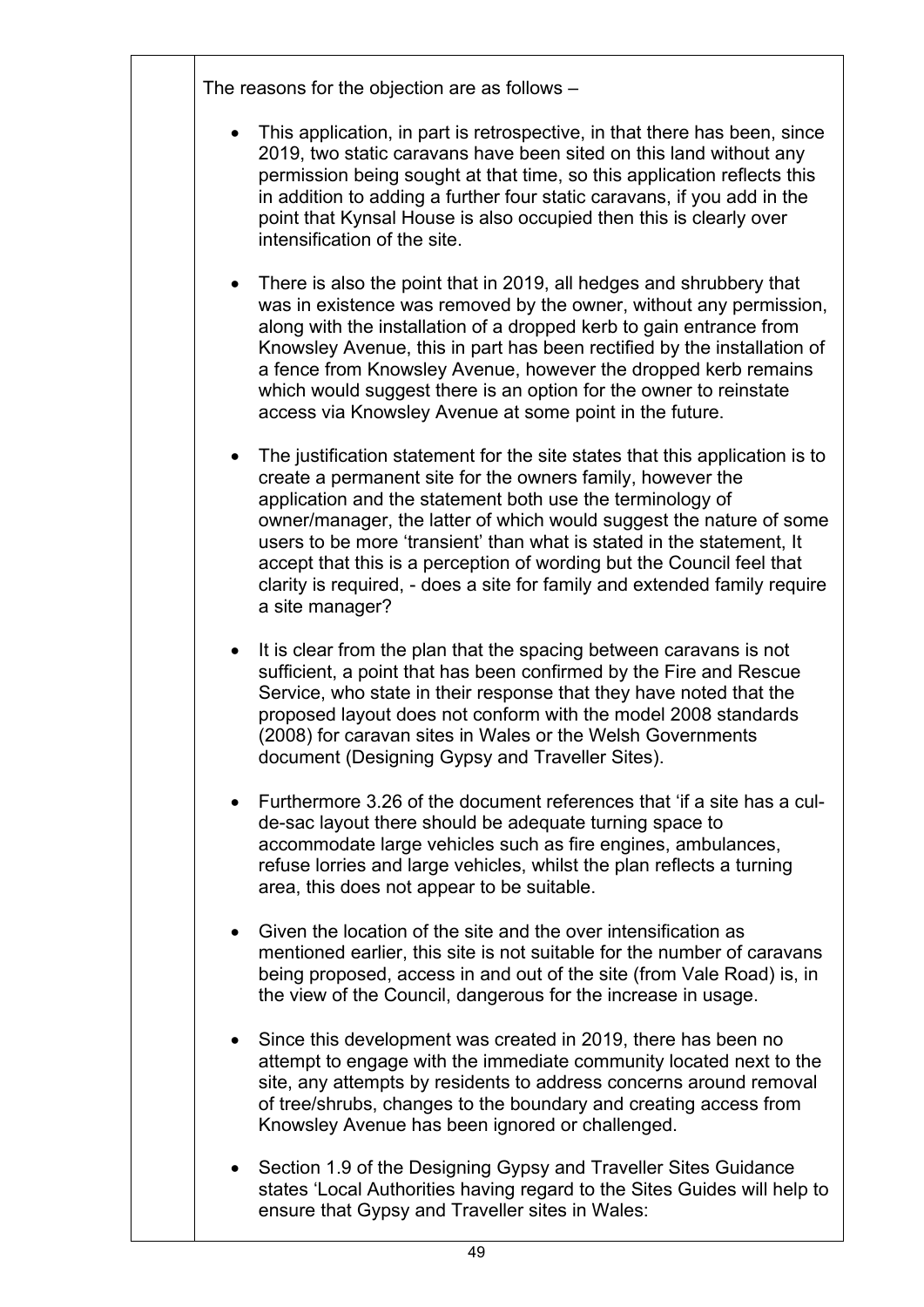The reasons for the objection are as follows –

- This application, in part is retrospective, in that there has been, since 2019, two static caravans have been sited on this land without any permission being sought at that time, so this application reflects this in addition to adding a further four static caravans, if you add in the point that Kynsal House is also occupied then this is clearly over intensification of the site.
- There is also the point that in 2019, all hedges and shrubbery that was in existence was removed by the owner, without any permission, along with the installation of a dropped kerb to gain entrance from Knowsley Avenue, this in part has been rectified by the installation of a fence from Knowsley Avenue, however the dropped kerb remains which would suggest there is an option for the owner to reinstate access via Knowsley Avenue at some point in the future.
- The justification statement for the site states that this application is to create a permanent site for the owners family, however the application and the statement both use the terminology of owner/manager, the latter of which would suggest the nature of some users to be more 'transient' than what is stated in the statement, It accept that this is a perception of wording but the Council feel that clarity is required, - does a site for family and extended family require a site manager?
- It is clear from the plan that the spacing between caravans is not sufficient, a point that has been confirmed by the Fire and Rescue Service, who state in their response that they have noted that the proposed layout does not conform with the model 2008 standards (2008) for caravan sites in Wales or the Welsh Governments document (Designing Gypsy and Traveller Sites).
- Furthermore 3.26 of the document references that 'if a site has a culde-sac layout there should be adequate turning space to accommodate large vehicles such as fire engines, ambulances, refuse lorries and large vehicles, whilst the plan reflects a turning area, this does not appear to be suitable.
- Given the location of the site and the over intensification as mentioned earlier, this site is not suitable for the number of caravans being proposed, access in and out of the site (from Vale Road) is, in the view of the Council, dangerous for the increase in usage.
- Since this development was created in 2019, there has been no attempt to engage with the immediate community located next to the site, any attempts by residents to address concerns around removal of tree/shrubs, changes to the boundary and creating access from Knowsley Avenue has been ignored or challenged.
- Section 1.9 of the Designing Gypsy and Traveller Sites Guidance states 'Local Authorities having regard to the Sites Guides will help to ensure that Gypsy and Traveller sites in Wales: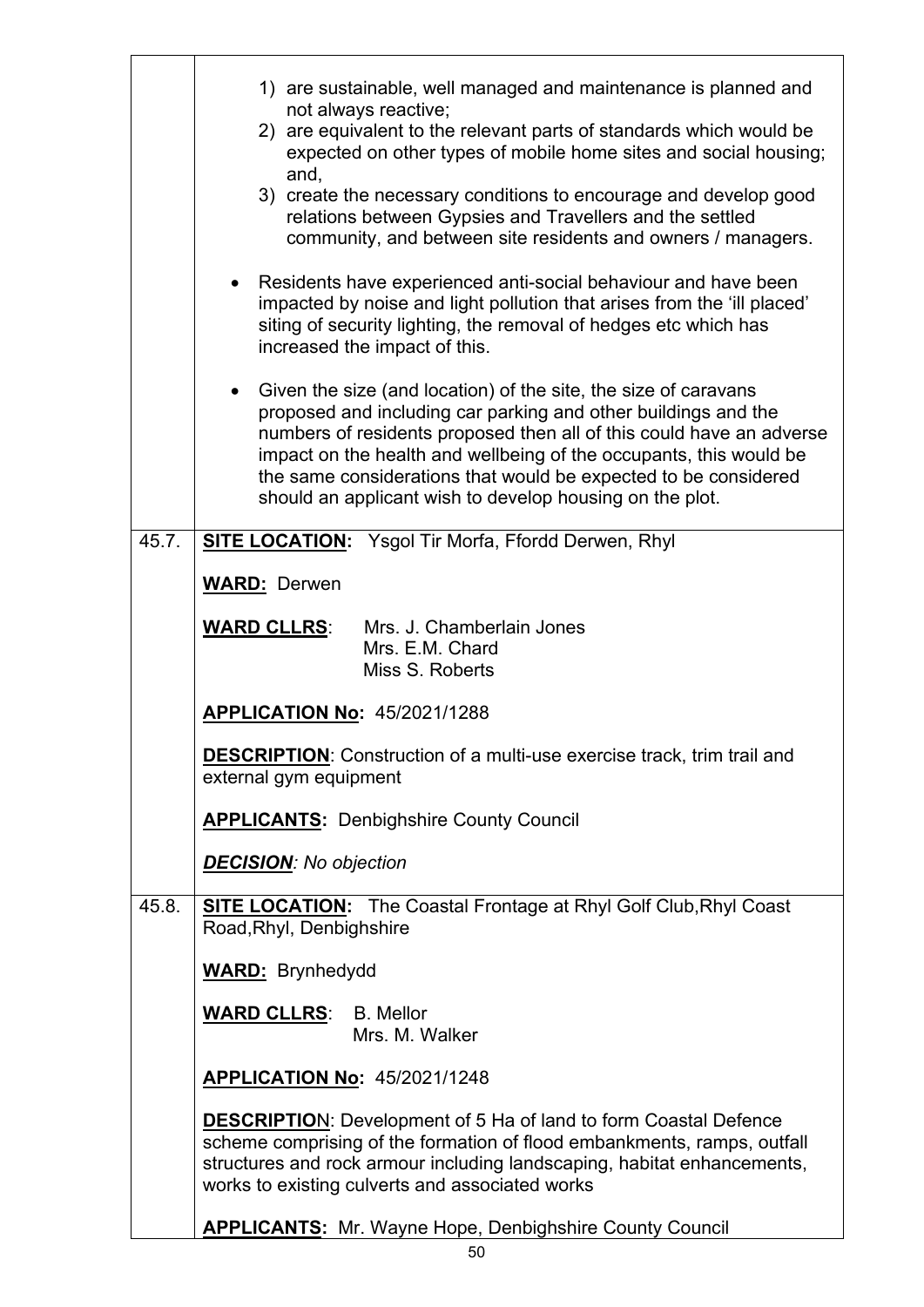|       | 1) are sustainable, well managed and maintenance is planned and                                                                                                                                                                                                                                                                                                                                                |  |
|-------|----------------------------------------------------------------------------------------------------------------------------------------------------------------------------------------------------------------------------------------------------------------------------------------------------------------------------------------------------------------------------------------------------------------|--|
|       | not always reactive;<br>2) are equivalent to the relevant parts of standards which would be<br>expected on other types of mobile home sites and social housing;<br>and,                                                                                                                                                                                                                                        |  |
|       | 3) create the necessary conditions to encourage and develop good<br>relations between Gypsies and Travellers and the settled<br>community, and between site residents and owners / managers.                                                                                                                                                                                                                   |  |
|       | Residents have experienced anti-social behaviour and have been<br>$\bullet$<br>impacted by noise and light pollution that arises from the 'ill placed'<br>siting of security lighting, the removal of hedges etc which has<br>increased the impact of this.                                                                                                                                                    |  |
|       | Given the size (and location) of the site, the size of caravans<br>proposed and including car parking and other buildings and the<br>numbers of residents proposed then all of this could have an adverse<br>impact on the health and wellbeing of the occupants, this would be<br>the same considerations that would be expected to be considered<br>should an applicant wish to develop housing on the plot. |  |
| 45.7. | <b>SITE LOCATION:</b> Ysgol Tir Morfa, Ffordd Derwen, Rhyl                                                                                                                                                                                                                                                                                                                                                     |  |
|       | <b>WARD: Derwen</b>                                                                                                                                                                                                                                                                                                                                                                                            |  |
|       | <b>WARD CLLRS:</b><br>Mrs. J. Chamberlain Jones                                                                                                                                                                                                                                                                                                                                                                |  |
|       | Mrs. E.M. Chard<br>Miss S. Roberts                                                                                                                                                                                                                                                                                                                                                                             |  |
|       |                                                                                                                                                                                                                                                                                                                                                                                                                |  |
|       | <b>APPLICATION No: 45/2021/1288</b>                                                                                                                                                                                                                                                                                                                                                                            |  |
|       | <b>DESCRIPTION:</b> Construction of a multi-use exercise track, trim trail and<br>external gym equipment                                                                                                                                                                                                                                                                                                       |  |
|       | <b>APPLICANTS: Denbighshire County Council</b>                                                                                                                                                                                                                                                                                                                                                                 |  |
|       | <b>DECISION:</b> No objection                                                                                                                                                                                                                                                                                                                                                                                  |  |
| 45.8. | <b>SITE LOCATION:</b> The Coastal Frontage at Rhyl Golf Club, Rhyl Coast<br>Road, Rhyl, Denbighshire                                                                                                                                                                                                                                                                                                           |  |
|       | <b>WARD:</b> Brynhedydd                                                                                                                                                                                                                                                                                                                                                                                        |  |
|       | <b>WARD CLLRS: B. Mellor</b><br>Mrs. M. Walker                                                                                                                                                                                                                                                                                                                                                                 |  |
|       | <b>APPLICATION No: 45/2021/1248</b>                                                                                                                                                                                                                                                                                                                                                                            |  |
|       | <b>DESCRIPTION:</b> Development of 5 Ha of land to form Coastal Defence<br>scheme comprising of the formation of flood embankments, ramps, outfall<br>structures and rock armour including landscaping, habitat enhancements,<br>works to existing culverts and associated works                                                                                                                               |  |
|       | <b>APPLICANTS:</b> Mr. Wayne Hope, Denbighshire County Council                                                                                                                                                                                                                                                                                                                                                 |  |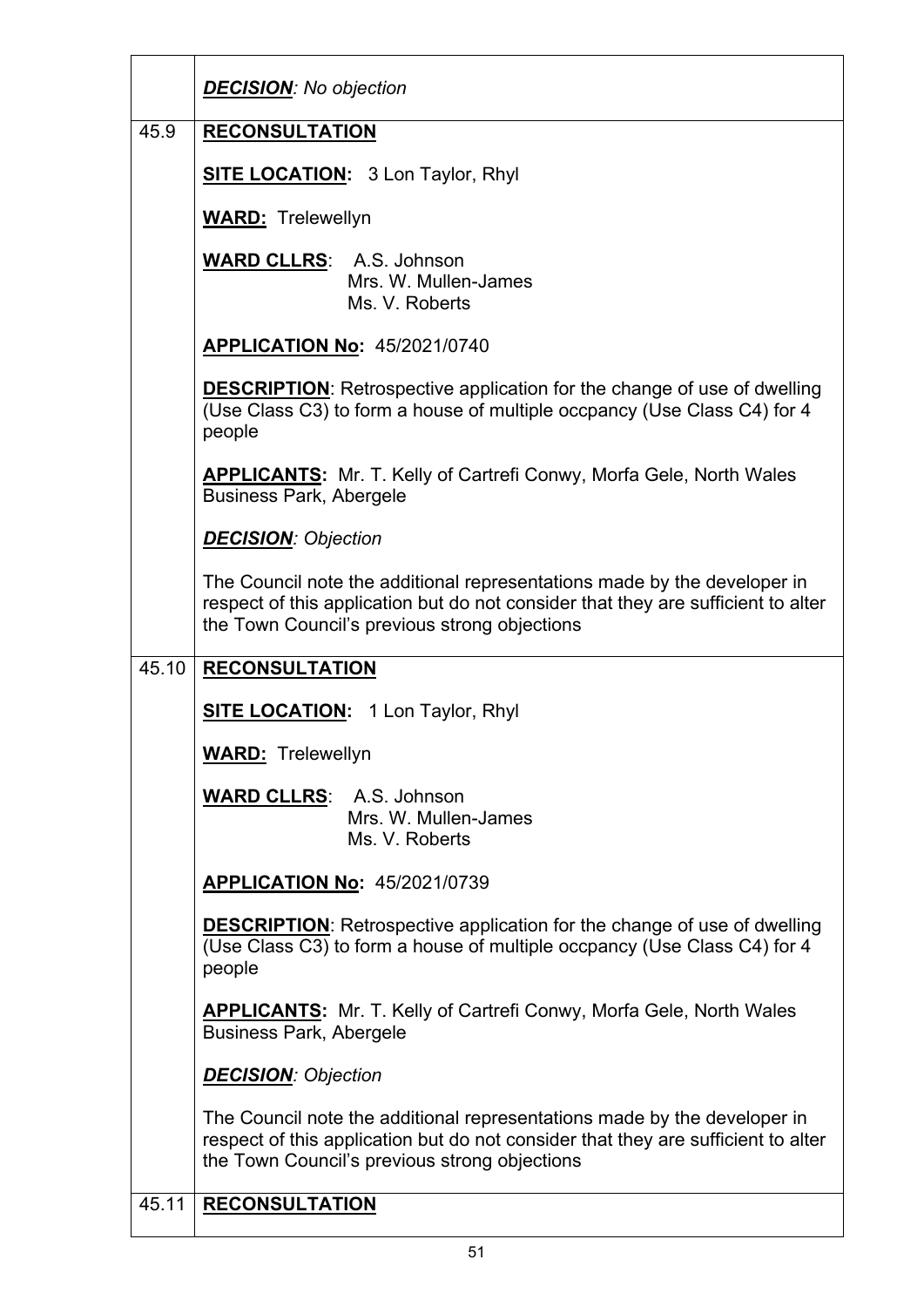|       | <b>DECISION:</b> No objection                                                                                                                                                                                  |  |
|-------|----------------------------------------------------------------------------------------------------------------------------------------------------------------------------------------------------------------|--|
| 45.9  | <b>RECONSULTATION</b>                                                                                                                                                                                          |  |
|       | <b>SITE LOCATION:</b> 3 Lon Taylor, Rhyl                                                                                                                                                                       |  |
|       | <b>WARD:</b> Trelewellyn                                                                                                                                                                                       |  |
|       | <b>WARD CLLRS:</b> A.S. Johnson<br>Mrs. W. Mullen-James<br>Ms. V. Roberts                                                                                                                                      |  |
|       | <b>APPLICATION No: 45/2021/0740</b>                                                                                                                                                                            |  |
|       | <b>DESCRIPTION:</b> Retrospective application for the change of use of dwelling<br>(Use Class C3) to form a house of multiple occpancy (Use Class C4) for 4<br>people                                          |  |
|       | <b>APPLICANTS:</b> Mr. T. Kelly of Cartrefi Conwy, Morfa Gele, North Wales<br><b>Business Park, Abergele</b>                                                                                                   |  |
|       | <b>DECISION: Objection</b>                                                                                                                                                                                     |  |
|       | The Council note the additional representations made by the developer in<br>respect of this application but do not consider that they are sufficient to alter<br>the Town Council's previous strong objections |  |
|       | <b>RECONSULTATION</b>                                                                                                                                                                                          |  |
| 45.10 |                                                                                                                                                                                                                |  |
|       | <b>SITE LOCATION:</b> 1 Lon Taylor, Rhyl                                                                                                                                                                       |  |
|       | <b>WARD: Trelewellyn</b>                                                                                                                                                                                       |  |
|       | <b>WARD CLLRS:</b> A.S. Johnson<br>Mrs. W. Mullen-James<br>Ms. V. Roberts                                                                                                                                      |  |
|       | <b>APPLICATION No: 45/2021/0739</b>                                                                                                                                                                            |  |
|       | <b>DESCRIPTION:</b> Retrospective application for the change of use of dwelling<br>(Use Class C3) to form a house of multiple occpancy (Use Class C4) for 4<br>people                                          |  |
|       | <b>APPLICANTS:</b> Mr. T. Kelly of Cartrefi Conwy, Morfa Gele, North Wales<br><b>Business Park, Abergele</b>                                                                                                   |  |
|       | <b>DECISION: Objection</b>                                                                                                                                                                                     |  |
|       | The Council note the additional representations made by the developer in<br>respect of this application but do not consider that they are sufficient to alter<br>the Town Council's previous strong objections |  |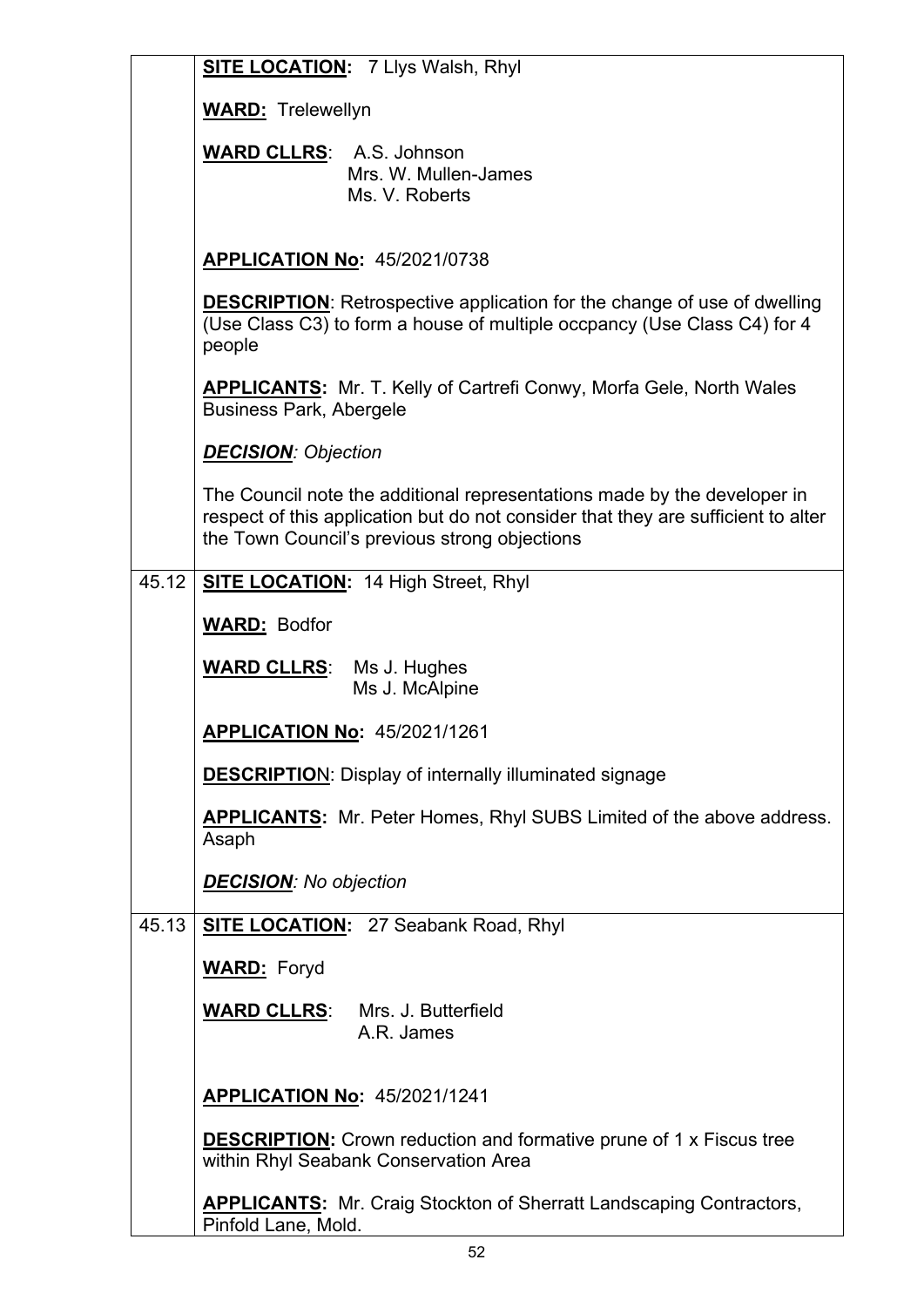|       | <b>SITE LOCATION: 7 Llys Walsh, Rhyl</b>                                                                                                                                                                       |  |
|-------|----------------------------------------------------------------------------------------------------------------------------------------------------------------------------------------------------------------|--|
|       | <b>WARD:</b> Trelewellyn                                                                                                                                                                                       |  |
|       | <b>WARD CLLRS: A.S. Johnson</b><br>Mrs. W. Mullen-James<br>Ms. V. Roberts                                                                                                                                      |  |
|       | <b>APPLICATION No: 45/2021/0738</b>                                                                                                                                                                            |  |
|       | <b>DESCRIPTION:</b> Retrospective application for the change of use of dwelling<br>(Use Class C3) to form a house of multiple occpancy (Use Class C4) for 4<br>people                                          |  |
|       | <b>APPLICANTS:</b> Mr. T. Kelly of Cartrefi Conwy, Morfa Gele, North Wales<br><b>Business Park, Abergele</b>                                                                                                   |  |
|       | <b>DECISION: Objection</b>                                                                                                                                                                                     |  |
|       | The Council note the additional representations made by the developer in<br>respect of this application but do not consider that they are sufficient to alter<br>the Town Council's previous strong objections |  |
| 45.12 | <b>SITE LOCATION: 14 High Street, Rhyl</b>                                                                                                                                                                     |  |
|       | <b>WARD: Bodfor</b>                                                                                                                                                                                            |  |
|       | <b>WARD CLLRS:</b> Ms J. Hughes<br>Ms J. McAlpine                                                                                                                                                              |  |
|       | <b>APPLICATION No: 45/2021/1261</b>                                                                                                                                                                            |  |
|       | <b>DESCRIPTION:</b> Display of internally illuminated signage                                                                                                                                                  |  |
|       | <b>APPLICANTS:</b> Mr. Peter Homes, Rhyl SUBS Limited of the above address.<br>Asaph                                                                                                                           |  |
|       | <b>DECISION:</b> No objection                                                                                                                                                                                  |  |
| 45.13 | <b>SITE LOCATION: 27 Seabank Road, Rhyl</b>                                                                                                                                                                    |  |
|       | <b>WARD:</b> Foryd                                                                                                                                                                                             |  |
|       | <b>WARD CLLRS:</b> Mrs. J. Butterfield<br>A.R. James                                                                                                                                                           |  |
|       | <b>APPLICATION No: 45/2021/1241</b>                                                                                                                                                                            |  |
|       | <b>DESCRIPTION:</b> Crown reduction and formative prune of 1 x Fiscus tree<br>within Rhyl Seabank Conservation Area                                                                                            |  |
|       | <b>APPLICANTS:</b> Mr. Craig Stockton of Sherratt Landscaping Contractors,<br>Pinfold Lane, Mold.                                                                                                              |  |